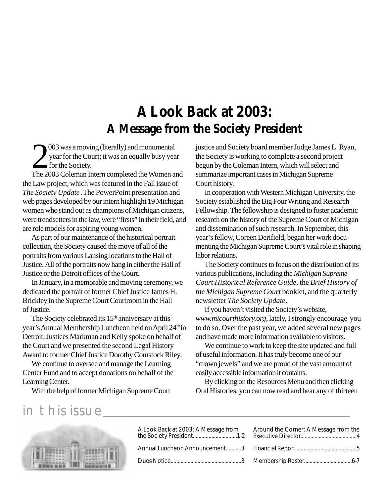# **A Look Back at 2003: A Message from the Society President**

2003 was a moving (literally) and monumental<br>year for the Court; it was an equally busy year<br>for the Society.<br>The 2003 Coleman Intern completed the Women and 003 was a moving (literally) and monumental year for the Court; it was an equally busy year for the Society.

the Law project, which was featured in the Fall issue of *The Society Update .*The PowerPoint presentation and web pages developed by our intern highlight 19 Michigan women who stand out as champions of Michigan citizens, were trendsetters in the law, were "firsts" in their field, and are role models for aspiring young women.

As part of our maintenance of the historical portrait collection, the Society caused the move of all of the portraits from various Lansing locations to the Hall of Justice. All of the portraits now hang in either the Hall of Justice or the Detroit offices of the Court.

In January, in a memorable and moving ceremony, we dedicated the portrait of former Chief Justice James H. Brickley in the Supreme Court Courtroom in the Hall of Justice.

The Society celebrated its 15<sup>th</sup> anniversary at this year's Annual Membership Luncheon held on April 24<sup>th</sup> in Detroit. Justices Markman and Kelly spoke on behalf of the Court and we presented the second Legal History Award to former Chief Justice Dorothy Comstock Riley.

We continue to oversee and manage the Learning Center Fund and to accept donations on behalf of the Learning Center.

With the help of former Michigan Supreme Court

justice and Society board member Judge James L. Ryan, the Society is working to complete a second project begun by the Coleman Intern, which will select and summarize important cases in Michigan Supreme Court history.

In cooperation with Western Michigan University, the Society established the Big Four Writing and Research Fellowship. The fellowship is designed to foster academic research on the history of the Supreme Court of Michigan and dissemination of such research. In September, this year's fellow, Coreen Derifield, began her work documenting the Michigan Supreme Court's vital role in shaping labor relations**.**

The Society continues to focus on the distribution of its various publications, including the *Michigan Supreme Court Historical Reference Guide*, the *Brief History of the Michigan Supreme Court* booklet, and the quarterly newsletter *The Society Update*.

If you haven't visited the Society's website, *www.micourthistory.org,* lately, I strongly encourage you to do so. Over the past year, we added several new pages and have made more information available to visitors.

We continue to work to keep the site updated and full of useful information. It has truly become one of our "crown jewels" and we are proud of the vast amount of easily accessible information it contains.

By clicking on the Resources Menu and then clicking Oral Histories, you can now read and hear any of thirteen

# in this issue



| A Look Back at 2003: A Message from Arou |  |
|------------------------------------------|--|
| Annual Luncheon Announcement3 Finar      |  |
|                                          |  |

| Around the Corner: A Message from the |  |
|---------------------------------------|--|
|                                       |  |
|                                       |  |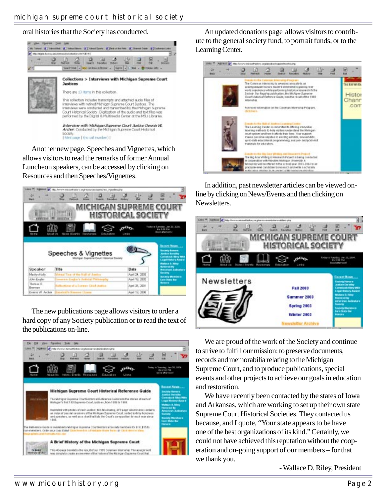oral histories that the Society has conducted.



Another new page, Speeches and Vignettes, which allows visitors to read the remarks of former Annual Luncheon speakers, can be accessed by clicking on Resources and then Speeches/Vignettes.



The new publications page allows visitors to order a hard copy of any Society publication or to read the text of the publications on-line.



An updated donations page allows visitors to contribute to the general society fund, to portrait funds, or to the Learning Center.



In addition, past newsletter articles can be viewed online by clicking on News/Events and then clicking on Newsletters.



We are proud of the work of the Society and continue to strive to fulfill our mission: to preserve documents, records and memorabilia relating to the Michigan Supreme Court, and to produce publications, special events and other projects to achieve our goals in education and restoration.

We have recently been contacted by the states of Iowa and Arkansas, which are working to set up their own state Supreme Court Historical Societies. They contacted us because, and I quote, "Your state appears to be have one of the best organizations of its kind." Certainly, we could not have achieved this reputation without the cooperation and on-going support of our members – for that we thank you.

- Wallace D. Riley, President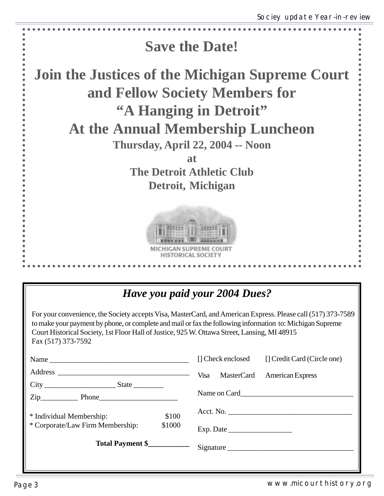

### *Have you paid your 2004 Dues?*

For your convenience, the Society accepts Visa, MasterCard, and American Express. Please call (517) 373-7589 to make your payment by phone, or complete and mail or fax the following information to: Michigan Supreme Court Historical Society, 1st Floor Hall of Justice, 925 W. Ottawa Street, Lansing, MI 48915 Fax (517) 373-7592

|                                            | [] Check enclosed [] Credit Card (Circle one) |
|--------------------------------------------|-----------------------------------------------|
|                                            | Visa<br>MasterCard<br><b>American Express</b> |
| $\overline{\text{Zip}}$ Phone              |                                               |
| \$100<br>* Individual Membership:          | Acct. No.                                     |
| * Corporate/Law Firm Membership:<br>\$1000 |                                               |
| Total Payment \$                           | Signature                                     |
|                                            |                                               |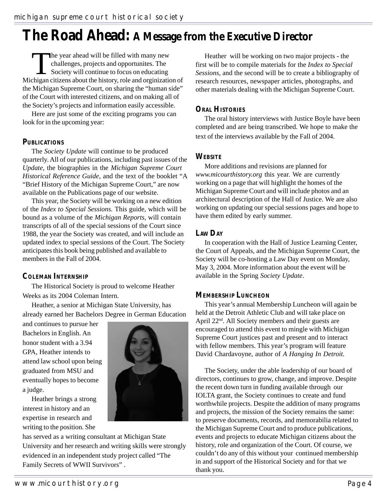# **The Road Ahead: A Message from the Executive Director**

The year ahead will be filled with many new<br>challenges, projects and opportunites. The<br>Society will continue to focus on educating<br>chigan citizens about the history role and orginizati challenges, projects and opportunites. The Society will continue to focus on educating Michigan citizens about the history, role and orginization of the Michigan Supreme Court, on sharing the "human side" of the Court with interested citizens, and on making all of the Society's projects and information easily accessible.

Here are just some of the exciting programs you can look for in the upcoming year:

#### **PUBLICATIONS**

The *Society Update* will continue to be produced quarterly. All of our publications, including past issues of the *Update,* the biographies in the *Michigan Supreme Court Historical Reference Guide*, and the text of the booklet "A "Brief History of the Michigan Supreme Court," are now available on the Publications page of our website.

This year, the Society will be working on a new edition of the *Index to Special Sessions.* This guide, which will be bound as a volume of the *Michigan Reports,* will contain transcripts of all of the special sessions of the Court since 1988, the year the Society was created, and will include an updated index to special sessions of the Court. The Society anticipates this book being published and available to members in the Fall of 2004.

#### **COLEMAN INTERNSHIP**

The Historical Society is proud to welcome Heather Weeks as its 2004 Coleman Intern.

Heather, a senior at Michigan State University, has already earned her Bachelors Degree in German Education

and continues to pursue her Bachelors in English. An honor student with a 3.94 GPA, Heather intends to attend law school upon being graduated from MSU and eventually hopes to become a judge.

Heather brings a strong interest in history and an expertise in research and writing to the position. She



has served as a writing consultant at Michigan State University and her research and writing skills were strongly evidenced in an independent study project called "The Family Secrets of WWII Survivors" .

Heather will be working on two major projects - the first will be to compile materials for the *Index to Special Sessions,* and the second will be to create a bibliography of research resources, newspaper articles, photographs, and other materials dealing with the Michigan Supreme Court.

#### **ORAL HISTORIES**

The oral history interviews with Justice Boyle have been completed and are being transcribed. We hope to make the text of the interviews available by the Fall of 2004.

#### **WEBSITE**

More additions and revisions are planned for *www.micourthistory.org* this year. We are currently working on a page that will highlight the homes of the Michigan Supreme Court and will include photos and an architectural description of the Hall of Justice. We are also working on updating our special sessions pages and hope to have them edited by early summer.

#### **LAW DAY**

In cooperation with the Hall of Justice Learning Center, the Court of Appeals, and the Michigan Supreme Court, the Society will be co-hosting a Law Day event on Monday, May 3, 2004. More information about the event will be available in the Spring *Society Update*.

#### **MEMBERSHIP LUNCHEON**

This year's annual Membership Luncheon will again be held at the Detroit Athletic Club and will take place on April 22nd. All Society members and their guests are encouraged to attend this event to mingle with Michigan Supreme Court justices past and present and to interact with fellow members. This year's program will feature David Chardavoyne, author of *A Hanging In Detroit.*

The Society, under the able leadership of our board of directors, continues to grow, change, and improve. Despite the recent down turn in funding available through our IOLTA grant, the Society continues to create and fund worthwhile projects. Despite the addition of many programs and projects, the mission of the Society remains the same: to preserve documents, records, and memorabilia related to the Michigan Supreme Court and to produce publications, events and projects to educate Michigan citizens about the history, role and organization of the Court. Of course, we couldn't do any of this without your continued membership in and support of the Historical Society and for that we thank you.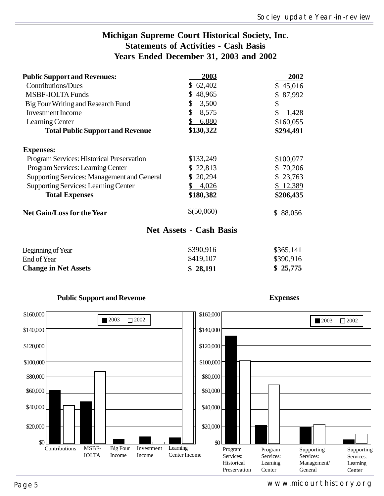### **Michigan Supreme Court Historical Society, Inc. Statements of Activities - Cash Basis Years Ended December 31, 2003 and 2002**

| <b>Public Support and Revenues:</b>                | 2003         | 2002         |
|----------------------------------------------------|--------------|--------------|
| <b>Contributions/Dues</b>                          | \$62,402     | \$45,016     |
| <b>MSBF-IOLTA Funds</b>                            | 48,965<br>S. | \$87,992     |
| Big Four Writing and Research Fund                 | \$<br>3,500  | \$           |
| <b>Investment Income</b>                           | \$<br>8,575  | \$<br>1,428  |
| Learning Center                                    | 6,880        | \$160,055    |
| <b>Total Public Support and Revenue</b>            | \$130,322    | \$294,491    |
| <b>Expenses:</b>                                   |              |              |
| Program Services: Historical Preservation          | \$133,249    | \$100,077    |
| Program Services: Learning Center                  | \$22,813     | \$70,206     |
| <b>Supporting Services: Management and General</b> | \$20,294     | \$23,763     |
| <b>Supporting Services: Learning Center</b>        | 4,026        | \$12,389     |
| <b>Total Expenses</b>                              | \$180,382    | \$206,435    |
| <b>Net Gain/Loss for the Year</b>                  | \$ (50,060)  | 88,056<br>\$ |

#### **Net Assets - Cash Basis**

| <b>Change in Net Assets</b> | \$28,191  | \$25,775  |
|-----------------------------|-----------|-----------|
| End of Year                 | \$419,107 | \$390,916 |
| Beginning of Year           | \$390,916 | \$365.141 |



#### **Public Support and Revenue**

**Expenses**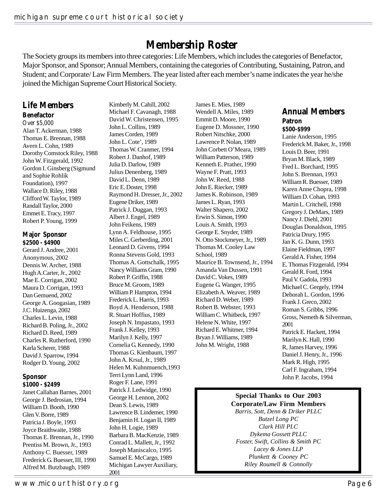## **Membership Roster**

The Society groups its members into three categories: Life Members, which includes the categories of Benefactor, Major Sponsor, and Sponsor; Annual Members, containing the categories of Contributing, Sustaining, Patron, and Student; and Corporate/ Law Firm Members. The year listed after each member's name indicates the year he/she joined the Michigan Supreme Court Historical Society.

#### **Life Members Benefactor**

Over \$5,000 Alan T. Ackerman, 1988 Thomas E. Brennan, 1988 Avern L. Cohn, 1989 Dorothy Comstock Riley, 1988 John W. Fitzgerald, 1992 Gordon I. Ginsberg (Sigmund and Sophie Rohlik Foundation), 1997 Wallace D. Riley, 1988 Clifford W. Taylor, 1989 Randall Taylor, 2000 Emmet E. Tracy, 1997 Robert P. Young, 1999

#### **Major Sponsor \$2500 - \$4900**

Gerard J. Andree, 2001 Anonymous, 2002 Dennis W. Archer, 1988 Hugh A.Carter, Jr., 2002 Mae E. Corrigan, 2002 Maura D. Corrigan, 1993 Dan Gemuend, 2002 George A. Googasian, 1989 J.C. Huizenga, 2002 Charles L. Levin, 1988 Richard B. Poling, Jr., 2002 Richard D. Reed, 1989 Charles R. Rutherford, 1990 Karla Scherer, 1988 David J. Sparrow, 1994 Rodger D. Young, 2002

#### **Sponsor \$1000 - \$2499**

Janet Callahan Barnes, 2001 George J. Bedrosian, 1994 William D. Booth, 1990 Glen V. Borre, 1989 Patricia J. Boyle, 1993 Joyce Braithwaite, 1988 Thomas E. Brennan, Jr., 1990 Prentiss M. Brown, Jr., 1993 Anthony C. Buesser, 1989 Frederick G. Buesser, III, 1990 Alfred M. Butzbaugh, 1989

Kimberly M. Cahill, 2002 Michael F. Cavanagh, 1988 David W. Christensen, 1995 John L. Collins, 1989 James Corden, 1989 John L. Cote', 1989 Thomas W. Cranmer, 1994 Robert J. Danhof, 1989 Julia D. Darlow, 1989 Julius Denenberg, 1989 David L. Denn, 1989 Eric E. Doster, 1998 Raymond H. Dresser, Jr., 2002 Eugene Driker, 1989 Patrick J. Duggan, 1993 Albert J. Engel, 1989 John Feikens, 1989 Lynn A. Feldhouse, 1995 Miles C. Gerberding, 2001 Leonard D. Givens, 1994 Ronna Stevens Gold, 1993 Thomas A. Gottschalk, 1995 Nancy Williams Gram, 1990 Robert P. Griffin, 1988 Bruce M. Groom, 1989 William P. Hampton, 1994 Frederick L. Harris, 1993 Boyd A. Henderson, 1988 R. Stuart Hoffius, 1989 Joseph N. Impastato, 1993 Frank J. Kelley, 1993 Marilyn J. Kelly, 1997 Cornelia G. Kennedy, 1990 Thomas G. Kienbaum, 1997 John A. Krsul, Jr., 1989 Helen M. Kuhnmuench,1993 Terri Lynn Land, 1996 Roger F. Lane, 1991 Patrick J. Ledwidge, 1990 George H. Lennon, 2002 Dean S. Lewis, 1989 Lawrence B. Lindemer, 1990 Benjamin H. Logan II, 1989 John H. Logie, 1989 Barbara B. MacKenzie, 1989 Conrad L. Mallett, Jr., 1992 Joseph Maniscalco, 1995 Samuel E. McCargo, 1989

Michigan Lawyer Auxiliary,

2001

James E. Mies, 1989 Wendell A. Miles, 1989 Emmit D. Moore, 1990 Eugene D. Mossner, 1990 Robert Nitschke, 2000 Lawrence P. Nolan, 1989 John Corbett O'Meara, 1989 William Patterson, 1989 Kenneth E. Prather, 1990 Wayne F. Pratt, 1993 John W. Reed, 1988 John E. Riecker, 1989 James K. Robinson, 1989 James L. Ryan, 1993 Walter Shapero, 2002 Erwin S. Simon, 1990 Louis A. Smith, 1993 George E. Snyder, 1989 N. Otto Stockmeyer, Jr., 1989 Thomas M. Cooley Law School, 1989 Maurice B. Townsend, Jr., 1994 Amanda Van Dussen, 1991 David C. Vokes, 1989 Eugene G. Wanger, 1995 Elizabeth A. Weaver, 1989 Richard D. Weber, 1989 Robert B. Webster, 1993 William C. Whitbeck, 1997 Helene N. White, 1997 Richard E. Whitmer, 1994 Bryan J. Williams, 1989 John M. Wright, 1988

### **Annual Members Patron**

#### **\$500-\$999**

Lanie Anderson, 1995 Frederick M. Baker, Jr., 1998 Louis D. Beer, 1991 Bryan M. Black, 1989 Fred L. Borchard, 1995 John S. Brennan, 1993 William R. Buesser, 1989 Karen Anne Chopra, 1998 William D. Cohan, 1993 Martin L. Critchell, 1998 Gregory J. DeMars, 1989 Nancy J. Diehl, 2001 Douglas Donaldson, 1995 Patricia Drury, 1995 Jan K. G. Dunn, 1993 Elaine Fieldman, 1997 Gerald A. Fisher, 1994 E. Thomas Fitzgerald, 1994 Gerald R. Ford, 1994 Paul V. Gadola, 1993 Michael C. Gergely, 1994 Deborah L. Gordon, 1996 Frank J. Greco, 2002 Roman S. Gribbs, 1996 Gross, Nemeth & Silverman, 2001 Patrick E. Hackett, 1994 Marilyn K. Hall, 1990 R, James Harvey, 1996 Daniel J. Henry, Jr., 1996 Mark R. High, 1995 Carl F. Ingraham, 1994 John P. Jacobs, 1994

#### **Special Thanks to Our 2003 Corporate/Law Firm Members**

*Barris, Sott, Denn & Driker PLLC Butzel Long PC Clark Hill PLC Dykema Gossett PLLC Foster, Swift, Collins & Smith PC Lacey & Jones LLP Plunkett & Cooney PC Riley Roumell & Connolly*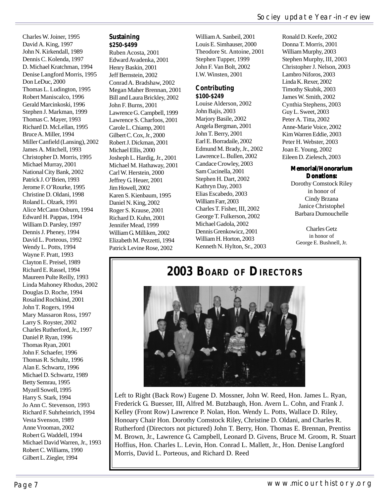Charles W. Joiner, 1995 David A. King, 1997 John N. Kirkendall, 1989 Dennis C. Kolenda, 1997 D. Michael Kratchman, 1994 Denise Langford Morris, 1995 Don LeDuc, 2000 Thomas L. Ludington, 1995 Robert Maniscalco, 1996 Gerald Marcinkoski, 1996 Stephen J. Markman, 1999 Thomas C. Mayer, 1993 Richard D. McLellan, 1995 Bruce A. Miller, 1994 Miller Canfield (Lansing), 2002 James A. Mitchell, 1993 Christopher D. Morris, 1995 Michael Murray, 2001 National City Bank, 2002 Patrick J. O'Brien, 1993 Jerome F. O'Rourke, 1995 Christine D. Oldani, 1998 Roland L. Olzark, 1991 Alice McCann Osburn, 1994 Edward H. Pappas, 1994 William D. Parsley, 1997 Dennis J. Pheney, 1994 David L. Porteous, 1992 Wendy L. Potts, 1994 Wayne F. Pratt, 1993 Clayton E. Preisel, 1989 Richard E. Rassel, 1994 Maureen Pulte Reilly, 1993 Linda Mahoney Rhodus, 2002 Douglas D. Roche, 1994 Rosalind Rochkind, 2001 John T. Rogers, 1994 Mary Massaron Ross, 1997 Larry S. Royster, 2002 Charles Rutherford, Jr., 1997 Daniel P. Ryan, 1996 Thomas Ryan, 2001 John F. Schaefer, 1996 Thomas R. Schultz, 1996 Alan E. Schwartz, 1996 Michael D. Schwartz, 1989 Betty Semrau, 1995 Myzell Sowell, 1995 Harry S. Stark, 1994 Jo Ann C. Stevenson, 1993 Richard F. Suhrheinrich, 1994 Vesta Svenson, 1989 Anne Vrooman, 2002 Robert G. Waddell, 1994 Michael David Warren, Jr., 1993 Robert C. Williams, 1990 Gilbert L. Ziegler, 1994

#### **Sustaining \$250-\$499**

Ruben Acosta, 2001 Edward Avadenka, 2001 Henry Baskin, 2001 Jeff Bernstein, 2002 Conrad A. Bradshaw, 2002 Megan Maher Brennan, 2001 Bill and Laura Brickley, 2002 John F. Burns, 2001 Lawrence G. Campbell, 1999 Lawrence S. Charfoos, 2001 Carole L. Chiamp, 2001 Gilbert C. Cox, Jr., 2000 Robert J. Dickman, 2001 Michael Ellis, 2000 Josheph L. Hardig, Jr., 2001 Michael M. Hathaway, 2001 Carl W. Herstein, 2000 Jeffrey G. Heuer, 2001 Jim Howell, 2002 Karen S. Kienbaum, 1995 Daniel N. King, 2002 Roger S. Krause, 2001 Richard D. Kuhn, 2001 Jennifer Mead, 1999 William G. Milliken, 2002 Elizabeth M. Pezzetti, 1994 Patrick Levine Rose, 2002

William A. Sanbeil, 2001 Louis E. Simhauser, 2000 Theodore St. Antoine, 2001 Stephen Tupper, 1999 John F. Van Bolt, 2002 I.W. Winsten, 2001

#### **Contributing \$100-\$249**

Louise Alderson, 2002 John Bajis, 2003 Marjory Basile, 2002 Angela Bergman, 2001 John T. Berry, 2001 Earl E. Borradaile, 2002 Edmund M. Brady, Jr., 2002 Lawrence L. Bullen, 2002 Candace Crowley, 2003 Sam Cucinella, 2001 Stephen H. Dart, 2002 Kathryn Day, 2003 Elias Escabedo, 2003 William Farr, 2003 Charles T. Fisher, III, 2002 George T. Fulkerson, 2002 Michael Gadola, 2002 Dennis Grenkowicz, 2001 William H. Horton, 2003 Kenneth N. Hylton, Sr., 2003

Ronald D. Keefe, 2002 Donna T. Morris, 2001 William Murphy, 2003 Stephen Murphy, III, 2003 Christopher J. Nelson, 2003 Lambro Niforos, 2003 Linda K. Rexer, 2002 Timothy Skubik, 2003 James W. Smith, 2002 Cynthia Stephens, 2003 Guy L. Sweet, 2003 Peter A. Titta, 2002 Anne-Marie Voice, 2002 Kim Warren Eddie, 2003 Peter H. Webster, 2003 Joan E. Young, 2002 Eileen D. Zielesch, 2003

#### **Memorial/Honorarium Donations: Donations:**

Dorothy Comstock Riley in honor of Cindy Brzana Janice Christophel Barbara Dumouchelle

Charles Getz in honor of George E. Bushnell, Jr.

## **2003 BOARD OF DIRECTORS**



Left to Right (Back Row) Eugene D. Mossner, John W. Reed, Hon. James L. Ryan, Frederick G. Buesser, III, Alfred M. Butzbaugh, Hon. Avern L. Cohn, and Frank J. Kelley (Front Row) Lawrence P. Nolan, Hon. Wendy L. Potts, Wallace D. Riley, Honoary Chair Hon. Dorothy Comstock Riley, Christine D. Oldani, and Charles R. Rutherford (Directors not pictured) John T. Berry, Hon. Thomas E. Brennan, Prentiss M. Brown, Jr., Lawrence G. Campbell, Leonard D. Givens, Bruce M. Groom, R. Stuart Hoffius, Hon. Charles L. Levin, Hon. Conrad L. Mallett, Jr., Hon. Denise Langford Morris, David L. Porteous, and Richard D. Reed